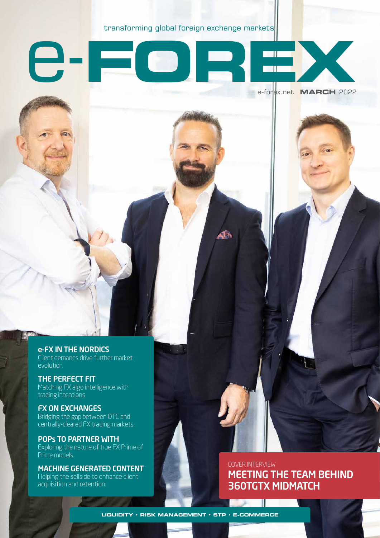transforming global foreign exchange markets

QÆ

e-**FOREX**

e-FX IN THE NORDICS Client demands drive further market evolution

THE PERFECT FIT Matching FX algo intelligence with trading intentions

FX ON EXCHANGES Bridging the gap between OTC and centrally-cleared FX trading markets

POPs TO PARTNER WITH Exploring the nature of true FX Prime of Prime models

MACHINE GENERATED CONTENT Helping the sellside to enhance client acquisition and retention.

COVER INTERVIEW MEETING THE TEAM BEHIND 360TGTX MIDMATCH

e-forex.net **MARCH** 2022

**LIQUIDITY • RISK MANAGEMENT • STP • E-COMMERCE**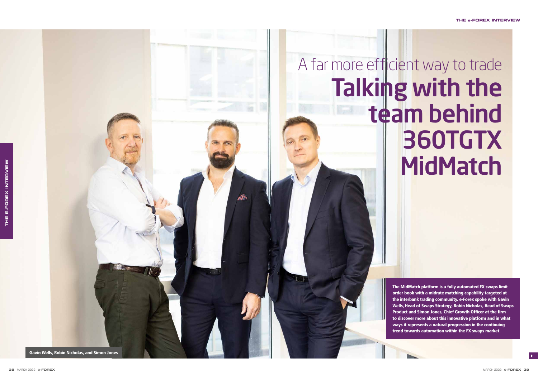The MidMatch platform is a fully automated FX swaps limit order book with a midrate matching capability targeted at the interbank trading community. e-Forex spoke with Gavin Wells, Head of Swaps Strategy, Robin Nicholas, Head of Swaps Product and Simon Jones, Chief Growth Officer at the firm to discover more about this innovative platform and in what ways it represents a natural progression in the continuing trend towards automation within the FX swaps market.



### **THE e-FOREX INTERVIEW**

# A far more efficient way to trade Talking with the team behind 360TGTX **MidMatch**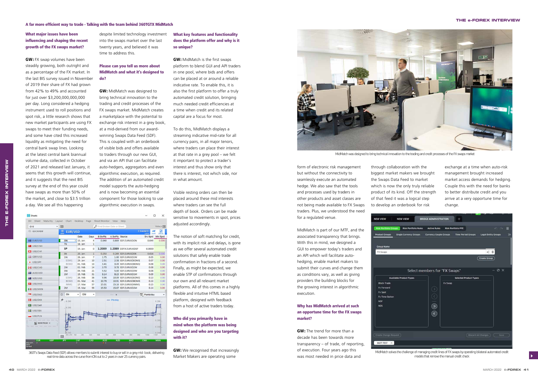# What major issues have been influencing and shaping the recent growth of the FX swaps market?

**GW:** FX swap volumes have been steadily growing, both outright and as a percentage of the FX market. In the last BIS survey issued in November of 2019 their share of FX had grown from 42% to 49% and accounted for just over \$3,200,000,000,000 per day. Long considered a hedging instrument used to roll positions and spot risk, a little research shows that new market participants are using FX swaps to meet their funding needs, and some have cited this increased liquidity as mitigating the need for central bank swap lines. Looking at the latest central bank biannual volume data, collected in October of 2021 and released last January, it seems that this growth will continue, and it suggests that the next BIS survey at the end of this year could have swaps as more than 50% of the market, and close to \$3.5 trillion a day. We see all this happening

despite limited technology investment into the swaps market over the last twenty years, and believed it was time to address this.

# Please can you tell us more about MidMatch and what it's designed to do?

**GW:** MidMatch was designed to bring technical innovation to the trading and credit processes of the FX swaps market. MidMatch creates a marketplace with the potential to exchange risk interest in a grey book, at a mid-derived from our awardwinning Swaps Data Feed (SDF). This is coupled with an orderbook of visible bids and offers available to traders through our new GUI, and via an API that can facilitate auto-hedgers, aggregators and even algorithmic execution, as required. The addition of an automated credit model supports the auto-hedging and is now becoming an essential component for those looking to use algorithmic execution in swaps.

| Sheets           |                    |            |                     |                          |               |                |                             |                   |                       |                        | □<br>×                     |
|------------------|--------------------|------------|---------------------|--------------------------|---------------|----------------|-----------------------------|-------------------|-----------------------|------------------------|----------------------------|
| D <sub>3</sub>   | Sheet              | Maturity   | Layout              | Chart                    | Desktop       | Page           | Sheet Monitor View          |                   | Help                  |                        |                            |
| G10              |                    |            | $\overline{a}$<br>۰ |                          |               |                | O Find Broken Date or Sheet |                   |                       |                        | TOOLS <sup>4</sup>         |
|                  | © QUICKVIEW        |            | Ξ<br><b>MENU</b>    | <b>EUR/USD</b>           |               |                |                             |                   |                       | 1 Standard -<br>LAYOUT | ₩<br>M<br>CHART<br>SPECIAL |
|                  |                    |            |                     |                          | Date          | Days           | <b>B</b> SwPts              | A SwPts Source    |                       | <b>Src Sprd</b>        | Min Sprd                   |
|                  | EUR/USD            |            |                     | ON                       | 15. Jan<br>Þ  | $\overline{a}$ | 0.840                       |                   | 0.889 SDF.EURUSDON    | 0.049                  | 0.000                      |
|                  |                    |            |                     | <b>TN</b>                | $18.$ Jan     | $\mathbf{1}$   |                             |                   |                       |                        |                            |
|                  | USD/CNH            |            |                     | SP                       | $19.$ Jan $.$ | $\mathbf{0}$   | 1.2089                      |                   | 1.2089 D3FIX.EURUSDSP | 0.0000                 |                            |
|                  | USD/CHF            |            |                     | <b>SN</b>                | 20. Jan       | 1              | 0.253                       |                   | 0.269 SDF.EURUSDSN    | 0.016                  | 0.000                      |
|                  | ■ GBP/USD          |            |                     | 1W                       | $26.$ Jan     | $\overline{7}$ | 1.75                        |                   | 1.80 SDF.EURUSD1W     |                        | 0.05<br>0.00               |
|                  |                    |            |                     | EOM1                     | 29. Jan       | 10             | 2.51                        |                   | 2.58 SDF.EURUSDEOM1   |                        | 0.07<br>0.00               |
|                  | · USD/JPY          |            |                     | BOM <sub>2</sub>         | 01. Feb       | 13             | 3.41                        |                   | 3.49 SDF.EURUSDBOM2   |                        | 0.08<br>0.00               |
|                  | <b>1</b> • USD/CAD |            |                     | 2W                       | 02. Feb       | 14             | 3.70                        |                   | 3.78 SDF.EURUSD2W     |                        | 0.08<br>0.00               |
|                  |                    |            |                     | 3W                       | 09. Feb       | 21             | 5.52                        |                   | 5.60 SDF.EURUSD3W     |                        | 0.08<br>0.00               |
| AUD/USD          |                    |            | 1M                  | 19. Feb                  | 31            | 8.14           |                             | 8.23 SDF.EURUSD1M |                       | 0.09<br>0.00           |                            |
| <b>NZD/USD</b>   |                    |            |                     | EOM <sub>2</sub>         | 26. Feb       | 38             | 9.96                        |                   | 10.09 SDF.EURUSDEOM2  |                        | 0.13<br>0.00               |
|                  |                    |            |                     | BOM3                     | 01. Mar       | 41             | 10.78                       |                   | 10.91 SDF,EURUSDBOM3  |                        | 0.13<br>0.00               |
|                  | USD/HKD            |            |                     | IMM1                     | 17. Mar       | 57             | 15.01                       |                   | 15.16 SDF.EURUSDIMM1  |                        | 0.15<br>0.00               |
|                  | <b>I</b> I USD/MXN |            |                     | 2M                       | 19. Mar       | 59             | 15.53                       |                   | 15.67 SDF.EURUSD2M    |                        | 0.14<br>0.00               |
|                  | <b>USD/SGD</b>     |            | ø                   | SN                       | 12M           | ٠              |                             | $\mathbf{x}$      |                       | <b>EMAN Points/day</b> |                            |
|                  | <b>HE USD/DKK</b>  |            | 尹                   | 0.290                    |               |                |                             | · Pts/day         |                       |                        | 0.290                      |
|                  | USD/SAR            |            |                     | 0.280                    |               |                |                             |                   |                       |                        | <b>AGU</b>                 |
|                  | <b>USD/SEK</b>     |            |                     |                          |               |                |                             |                   |                       |                        |                            |
|                  | USD/PLN            |            |                     |                          |               |                |                             |                   |                       |                        |                            |
| NEW PAGE -       |                    |            |                     |                          |               |                |                             |                   |                       | 0.260                  |                            |
|                  |                    |            |                     |                          |               |                |                             |                   |                       |                        | 0.250                      |
|                  |                    |            |                     | 0.240<br><b>SN 2W 1M</b> | 2M            | 3M             | 4M<br>5M                    | 6M                | 7M<br>8M              | 9M<br><b>10M</b>       | 0.240<br>11M<br>12M        |
|                  | <b>EUR</b>         | <b>GBP</b> | $\sqrt{2}$          | <b>JPY</b>               | CHF           | CAD            | <b>AUD</b>                  | <b>NZD</b>        | <b>HKD</b>            | <b>CNH</b>             | <b>MXN</b>                 |
| Adjustm.<br>Rate | Þ                  |            |                     |                          | ь             |                | ΉИ                          |                   | Ы                     |                        |                            |
| Spread           |                    |            |                     |                          |               |                |                             |                   |                       |                        |                            |

**GW:** We recognised that increasingly Market Makers are operating some

# What key features and functionality does the platform offer and why is it so unique?

**GW:** MidMatch is the first swaps platform to blend GUI and API traders in one pool, where bids and offers can be placed at or around a reliable indicative rate. To enable this, it is also the first platform to offer a truly automated credit solution, bringing much needed credit efficiencies at a time when credit and its related capital are a focus for most.

To do this, MidMatch displays a streaming indicative mid-rate for all currency pairs, in all major tenors, where traders can place their interest at that rate in a grey pool – we felt it important to protect a trader's interest and thus show only that there is interest, not which side, nor in what amount.

Visible resting orders can then be placed around these mid interests where traders can see the full depth of book. Orders can be made sensitive to movements in spot, prices adjusted accordingly.

The notion of soft matching for credit, with its implicit risk and delays, is gone as we offer several automated credit solutions that safely enable trade confirmation in fractions of a second. Finally, as might be expected, we enable STP of confirmations through our own and all relevant market platforms. All of this comes in a highly flexible and intuitive HTML based platform, designed with feedback from a host of active traders today.

# Who did you primarily have in mind when the platform was being designed and who are you targeting with it?

**THE E-FOREX INTERVIEW**

E-FOREX

FHE<br>F

INTERVIEW

form of electronic risk management but without the connectivity to seamlessly execute an automated hedge. We also saw that the tools and processes used by traders in other products and asset classes are not being made available to FX Swaps traders. Plus, we understood the need for a regulated venue.

MidMatch is part of our MTF, and the associated transparency that brings. With this in mind, we designed a GUI to empower today's traders and an API which will facilitate autohedging, enable market makers to submit their curves and change them as conditions vary, as well as giving providers the building blocks for the growing interest in algorithmic execution.

# Why has MidMatch arrived at such an opportune time for the FX swaps market?

**GW:** The trend for more than a decade has been towards more transparency – of trade, of reporting, of execution. Four years ago this was most needed in price data and

through collaboration with the biggest market makers we brought the Swaps Data Feed to market which is now the only truly reliable product of its kind. Off the strength of that feed it was a logical step to develop an orderbook for risk

| <b>NEW VIEW</b>              | <b>NEW VIE</b>           |
|------------------------------|--------------------------|
| <b>Risk Portfolio Groups</b> | <b>Risk</b>              |
| <b>Product Groups</b>        | <b>Single Curr</b>       |
|                              |                          |
| <b>Group Name</b>            |                          |
| FX Swaps                     |                          |
|                              |                          |
|                              |                          |
|                              |                          |
|                              | <b>Available Product</b> |
| <b>Block-Trade</b>           |                          |
| <b>Fx Forward</b>            |                          |
| <b>Fx Spot</b>               |                          |
| <b>Fx Time Option</b>        |                          |
| <b>NDF</b>                   |                          |
| <b>NDS</b>                   |                          |
|                              |                          |
|                              |                          |
|                              |                          |
|                              |                          |
|                              |                          |
|                              |                          |

360T.TEST  $\times$ 

exchange at a time when auto-risk management brought increased market access demands for hedging. Couple this with the need for banks to better distribute credit and you arrive at a very opportune time for change.

| W                      | <b>BRIDGE ADMINISTRATION</b>                      |                | ÷                         |                               |                             |             |       |
|------------------------|---------------------------------------------------|----------------|---------------------------|-------------------------------|-----------------------------|-------------|-------|
| <b>Portfolio Rules</b> | <b>Active Rules</b>                               |                | <b>Risk Portfolio PFE</b> |                               |                             | $\sqrt{2}$  | ≡     |
| rency Groups           | <b>Currency Couple Groups</b>                     |                | Time Period Groups        |                               | <b>Legal Entity Groups</b>  |             | $\gg$ |
|                        |                                                   |                |                           |                               |                             |             |       |
|                        |                                                   |                |                           |                               |                             |             |       |
|                        |                                                   |                |                           |                               | al 自<br><b>Create Group</b> |             |       |
|                        |                                                   |                |                           |                               |                             |             |       |
|                        | Select members for "FX Swaps"                     |                |                           |                               |                             | $x \circ x$ |       |
| t Types                |                                                   |                |                           | <b>Selected Product Types</b> |                             |             |       |
|                        | $\widehat{\mathbb{Z}}$<br>$\overline{\mathbf{x}}$ | <b>Fx Swap</b> |                           |                               |                             |             |       |
|                        |                                                   |                |                           | (Discard All Changes)         |                             | Save        |       |
|                        |                                                   |                |                           |                               |                             |             |       |

## **THE e-FOREX INTERVIEW**

MidMatch solves the challenge of managing credit lines of FX swaps by operating bilateral automated credit models that remove the manual credit check

360T's Swaps Data Feed (SDF) allows members to submit interest to buy or sell in a grey mid- book, delivering real-time data across the curve from ON out to 2 years in over 25 currency pairs.



MidMatch was designed to bring technical innovation to the trading and credit processes of the FX swaps market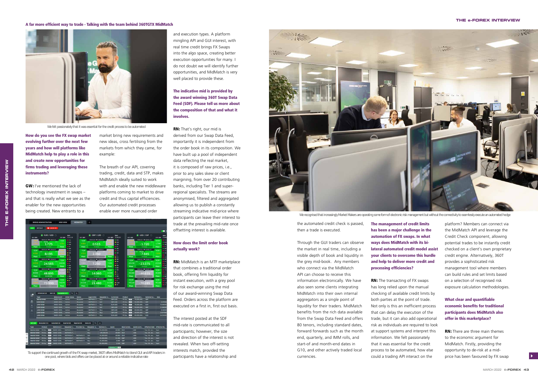How do you see the FX swap market evolving further over the next few years and how will platforms like MidMatch help to play a role in this and create new opportunities for firms trading and leveraging these instruments?

**GW:** I've mentioned the lack of technology investment in swaps – and that is really what we see as the enabler for the new opportunities being created. New entrants to a

market bring new requirements and new ideas, cross fertilising from the markets from which they came, for example:

The breath of our API, covering trading, credit, data and STP, makes MidMatch ideally suited to work with and enable the new middleware platforms coming to market to drive credit and thus capital efficiencies. Our automated credit processes enable ever more nuanced order



and execution types. A platform mingling API and GUI interest, with real time credit brings FX Swaps into the algo space, creating better execution opportunities for many. I do not doubt we will identify further opportunities, and MidMatch is very well placed to provide these.

# The indicative mid is provided by the award winning 360T Swap Data Feed (SDF). Please tell us more about the composition of that and what it involves.

**INTERVIEW** 

**RN:** That's right, our mid is derived from our Swap Data Feed, importantly it is independent from the order book in its composition. We have built up a pool of independent data reflecting the real market, it is composed of raw prices, i.e., prior to any sales skew or client margining, from over 20 contributing banks, including Tier 1 and superregional specialists. The streams are anonymised, filtered and aggregated allowing us to publish a constantly streaming indicative mid-price where participants can leave their interest to trade at the prevailing mid-rate once offsetting interest is available.

# How does the limit order book actually work?

**RN:** MidMatch is an MTF marketplace that combines a traditional order book, offering firm liquidity for instant execution, with a grey pool for risk exchange using the mid of our award-winning Swap Data Feed. Orders across the platform are executed on a first in, first out basis.

The interest posted at the SDF mid-rate is communicated to all participants; however, the size and direction of the interest is not revealed. When two off-setting interests match, provided the participants have a relationship and



We recognised that increasingly Market Makers are operating some form of electronic risk management but without the connectivity to seamlessly execute an automated hedge

## A far more efficient way to trade - Talking with the team behind 360TGTX MidMatch

#### **THE e-FOREX INTERVIEW**

the automated credit check is passed, then a trade is executed.

Through the GUI traders can observe the market in real time, including a visible depth of book and liquidity in the grey mid-book. Any members who connect via the MidMatch API can choose to receive this information electronically. We have also seen some clients integrating MidMatch into their own internal aggregators as a single point of liquidity for their traders. MidMatch benefits from the rich data available from the Swap Data Feed and offers 80 tenors, including standard dates, forward forwards such as the month end, quarterly, and IMM rolls, and start-of and month-end dates in G10, and other actively traded local currencies.

The management of credit limits has been a major challenge in the automation of FX swaps. In what ways does MidMatch with its bilateral automated credit model assist your clients to overcome this hurdle and help to deliver more credit and processing efficiencies?

**RN:** The transacting of FX swaps has long relied upon the manual checking of available credit limits by both parties at the point of trade. Not only is this an inefficient process that can delay the execution of the trade, but it can also add operational risk as individuals are required to look at support systems and interpret this information. We felt passionately that it was essential for the credit process to be automated, how else could a trading API interact on the

platform? Members can connect via the MidMatch API and leverage the Credit Check component, allowing potential trades to be instantly credit checked on a client's own proprietary credit engine. Alternatively, 360T provides a sophisticated risk management tool where members can build rules and set limits based on a selection of recognised risk exposure calculation methodologies.

# What clear and quantifiable economic benefits for traditional participants does MidMatch also offer in this marketplace?

**RN:** There are three main themes to the economic argument for MidMatch. Firstly, providing the opportunity to de-risk at a midprice has been favoured by FX swap



We felt passionately that it was essential for the credit process to be automated

To support the continued growth of the FX swap market, 360T offers MidMatch to blend GUI and API traders in one pool, where bids and offers can be placed at or around a reliable indicative rate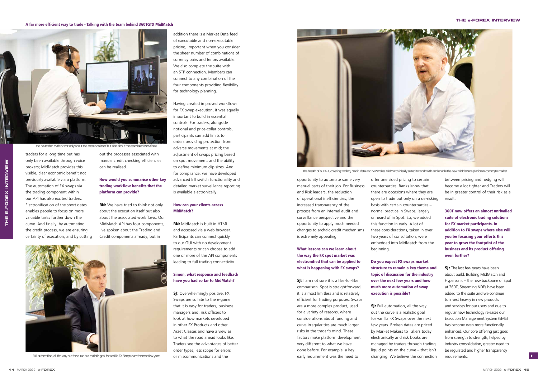opportunity to automate some very manual parts of their job. For Business and Risk leaders, the reduction of operational inefficiencies, the increased transparency of the process from an internal audit and surveillance perspective and the opportunity to apply much needed changes to archaic credit mechanisms is extremely appealing.

# What lessons can we learn about the way the FX spot market was electronified that can be applied to what is happening with FX swaps?

**SJ:** I am not sure it is a like-for-like comparison. Spot is straightforward, it is almost limitless and is relatively efficient for trading purposes. Swaps are a more complex product, used for a variety of reasons, where considerations about funding and curve irregularities are much larger risks in the trader's mind. These factors make platform development very different to what we have done before. For example, a key early requirement was the need to

**SJ:** Full automation, all the way out the curve is a realistic goal for vanilla FX Swaps over the next few years. Broken dates are priced by Market Makers to Takers today electronically and risk books are managed by traders through trading liquid points on the curve – that isn't changing. We believe the connection



Full automation, all the way out the curve is a realistic goal for vanilla FX Swaps over the next few years or miscommunications and the

offer one sided pricing to certain counterparties. Banks know that there are occasions where they are open to trade but only on a de-risking basis with certain counterparties – normal practice in Swaps, largely unheard of in Spot. So, we added this function in early. A lot of these considerations, taken in over two years of consultation, were embedded into MidMatch from the beginning.

> **SJ:** The last few years have been about build. Building MidMatch and Hypersonic – the new backbone of Spot at 360T, Streaming NDFs have been added to the suite and we continue to invest heavily in new products and services for our users and due to regular new technology releases our Execution Management System (EMS) has become even more functionally enhanced. Our core offering just goes from strength to strength, helped by industry consolidation, greater need to be regulated and higher transparency requirements.

Do you expect FX swaps market structure to remain a key theme and topic of discussion for the industry over the next few years and how much more automation of swap execution is possible?

between pricing and hedging will become a lot tighter and Traders will be in greater control of their risk as a result.

360T now offers an almost unrivalled suite of electronic trading solutions for FX market participants. In addition to FX swaps where else will you be focusing your efforts this year to grow the footprint of the business and its product offering even further?

**THE E-FOREX INTERVIEW**

E-FOREX

THE

#### A far more efficient way to trade - Talking with the team behind 360TGTX MidMatch

#### **THE e-FOREX INTERVIEW**

The breath of our API, covering trading, credit, data and STP, makes MidMatch ideally suited to work with and enable the new middleware platforms coming to market

only been available through voice brokers; MidMatch provides this visible, clear economic benefit not previously available via a platform. The automation of FX swaps via the trading component within our API has also excited traders. Electronification of the short dates enables people to focus on more valuable tasks further down the curve. And finally, by automating

out the processes associated with manual credit checking efficiencies can be realised.

# How would you summarise other key trading workflow benefits that the platform can provide?

**RN:** We have tried to think not only about the execution itself but also about the associated workflows. Our MidMatch API has four components, I've spoken about the Trading and Credit components already, but in

addition there is a Market Data feed of executable and non-executable pricing, important when you consider the sheer number of combinations of currency pairs and tenors available. We also complete the suite with an STP connection. Members can connect to any combination of the four components providing flexibility for technology planning.

Having created improved workflows for FX swap execution, it was equally important to build in essential controls. For traders, alongside notional and price-collar controls, participants can add limits to orders providing protection from adverse movements at mid; the adjustment of swaps pricing based on spot movement; and the ability to define minimum clip sizes. And for compliance, we have developed advanced kill switch functionality and detailed market surveillance reporting is available electronically.

# How can your clients access MidMatch?

**RN:** MidMatch is built in HTML and accessed via a web browser. Participants can connect quickly to our GUI with no development requirements or can choose to add one or more of the API components leading to full trading connectivity.

# Simon, what response and feedback have you had so far to MidMatch?

**SJ:** Overwhelmingly positive. FX Swaps are so late to the e-game that it is easy for traders, business managers and, risk officers to look at how markets developed in other FX Products and other Asset Classes and have a view as to what the road ahead looks like. Traders see the advantages of better order types, less scope for errors





We have tried to think not only about the execution itself but also about the associated workflows